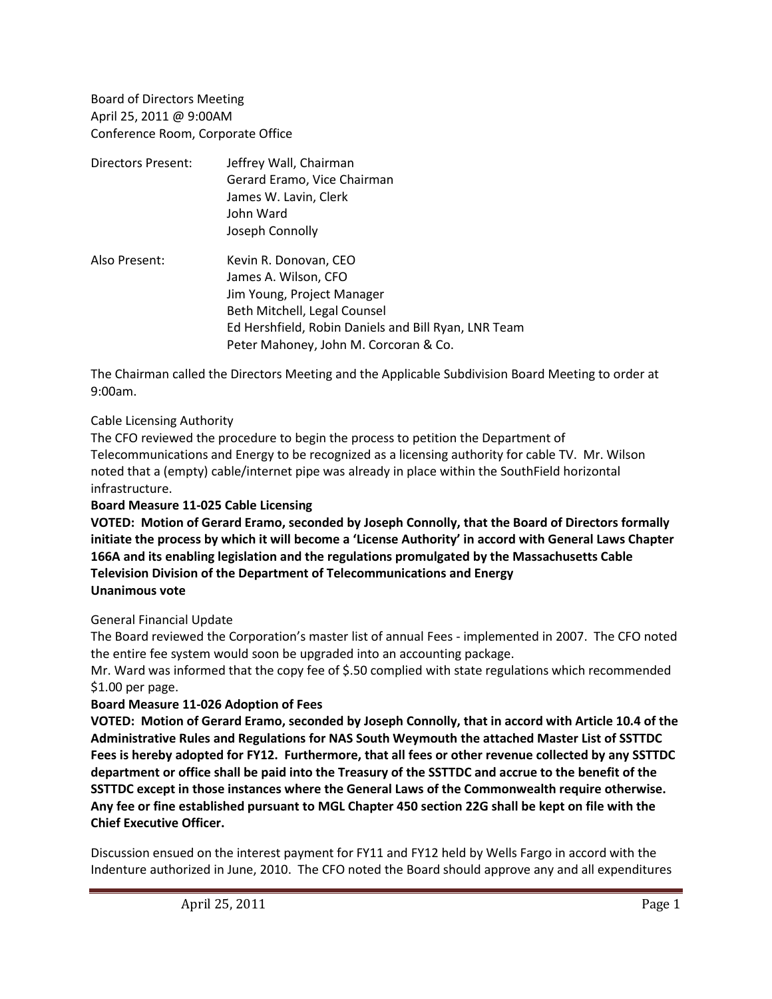Board of Directors Meeting April 25, 2011 @ 9:00AM Conference Room, Corporate Office

| Directors Present: | Jeffrey Wall, Chairman<br>Gerard Eramo, Vice Chairman<br>James W. Lavin, Clerk<br>John Ward<br>Joseph Connolly                |
|--------------------|-------------------------------------------------------------------------------------------------------------------------------|
| Also Present:      | Kevin R. Donovan, CEO<br>James A. Wilson, CFO<br>Jim Young, Project Manager                                                   |
|                    | Beth Mitchell, Legal Counsel<br>Ed Hershfield, Robin Daniels and Bill Ryan, LNR Team<br>Peter Mahoney, John M. Corcoran & Co. |

The Chairman called the Directors Meeting and the Applicable Subdivision Board Meeting to order at 9:00am.

#### Cable Licensing Authority

The CFO reviewed the procedure to begin the process to petition the Department of Telecommunications and Energy to be recognized as a licensing authority for cable TV. Mr. Wilson noted that a (empty) cable/internet pipe was already in place within the SouthField horizontal infrastructure.

## **Board Measure 11-025 Cable Licensing**

**VOTED: Motion of Gerard Eramo, seconded by Joseph Connolly, that the Board of Directors formally initiate the process by which it will become a 'License Authority' in accord with General Laws Chapter 166A and its enabling legislation and the regulations promulgated by the Massachusetts Cable Television Division of the Department of Telecommunications and Energy Unanimous vote**

#### General Financial Update

The Board reviewed the Corporation's master list of annual Fees - implemented in 2007. The CFO noted the entire fee system would soon be upgraded into an accounting package.

Mr. Ward was informed that the copy fee of \$.50 complied with state regulations which recommended \$1.00 per page.

#### **Board Measure 11-026 Adoption of Fees**

**VOTED: Motion of Gerard Eramo, seconded by Joseph Connolly, that in accord with Article 10.4 of the Administrative Rules and Regulations for NAS South Weymouth the attached Master List of SSTTDC Fees is hereby adopted for FY12. Furthermore, that all fees or other revenue collected by any SSTTDC department or office shall be paid into the Treasury of the SSTTDC and accrue to the benefit of the SSTTDC except in those instances where the General Laws of the Commonwealth require otherwise. Any fee or fine established pursuant to MGL Chapter 450 section 22G shall be kept on file with the Chief Executive Officer.**

Discussion ensued on the interest payment for FY11 and FY12 held by Wells Fargo in accord with the Indenture authorized in June, 2010. The CFO noted the Board should approve any and all expenditures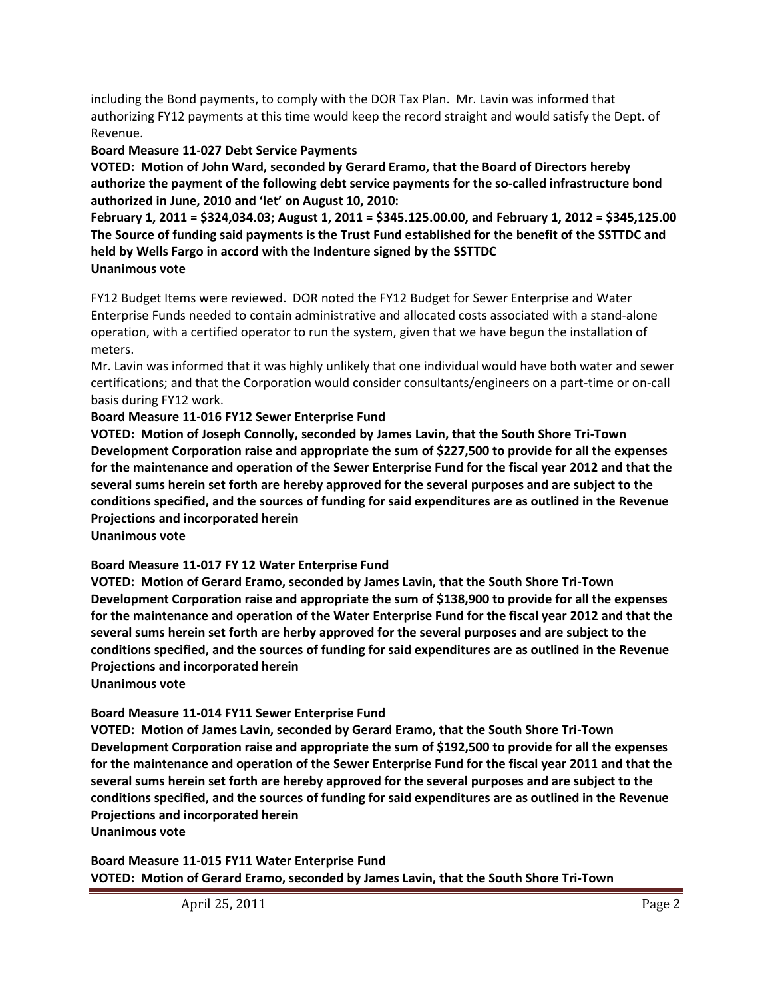including the Bond payments, to comply with the DOR Tax Plan. Mr. Lavin was informed that authorizing FY12 payments at this time would keep the record straight and would satisfy the Dept. of Revenue.

# **Board Measure 11-027 Debt Service Payments**

**VOTED: Motion of John Ward, seconded by Gerard Eramo, that the Board of Directors hereby authorize the payment of the following debt service payments for the so-called infrastructure bond authorized in June, 2010 and 'let' on August 10, 2010:** 

**February 1, 2011 = \$324,034.03; August 1, 2011 = \$345.125.00.00, and February 1, 2012 = \$345,125.00 The Source of funding said payments is the Trust Fund established for the benefit of the SSTTDC and held by Wells Fargo in accord with the Indenture signed by the SSTTDC Unanimous vote**

FY12 Budget Items were reviewed. DOR noted the FY12 Budget for Sewer Enterprise and Water Enterprise Funds needed to contain administrative and allocated costs associated with a stand-alone operation, with a certified operator to run the system, given that we have begun the installation of meters.

Mr. Lavin was informed that it was highly unlikely that one individual would have both water and sewer certifications; and that the Corporation would consider consultants/engineers on a part-time or on-call basis during FY12 work.

# **Board Measure 11-016 FY12 Sewer Enterprise Fund**

**VOTED: Motion of Joseph Connolly, seconded by James Lavin, that the South Shore Tri-Town Development Corporation raise and appropriate the sum of \$227,500 to provide for all the expenses for the maintenance and operation of the Sewer Enterprise Fund for the fiscal year 2012 and that the several sums herein set forth are hereby approved for the several purposes and are subject to the conditions specified, and the sources of funding for said expenditures are as outlined in the Revenue Projections and incorporated herein**

**Unanimous vote**

# **Board Measure 11-017 FY 12 Water Enterprise Fund**

**VOTED: Motion of Gerard Eramo, seconded by James Lavin, that the South Shore Tri-Town Development Corporation raise and appropriate the sum of \$138,900 to provide for all the expenses for the maintenance and operation of the Water Enterprise Fund for the fiscal year 2012 and that the several sums herein set forth are herby approved for the several purposes and are subject to the conditions specified, and the sources of funding for said expenditures are as outlined in the Revenue Projections and incorporated herein**

**Unanimous vote**

# **Board Measure 11-014 FY11 Sewer Enterprise Fund**

**VOTED: Motion of James Lavin, seconded by Gerard Eramo, that the South Shore Tri-Town Development Corporation raise and appropriate the sum of \$192,500 to provide for all the expenses for the maintenance and operation of the Sewer Enterprise Fund for the fiscal year 2011 and that the several sums herein set forth are hereby approved for the several purposes and are subject to the conditions specified, and the sources of funding for said expenditures are as outlined in the Revenue Projections and incorporated herein**

**Unanimous vote**

**Board Measure 11-015 FY11 Water Enterprise Fund VOTED: Motion of Gerard Eramo, seconded by James Lavin, that the South Shore Tri-Town**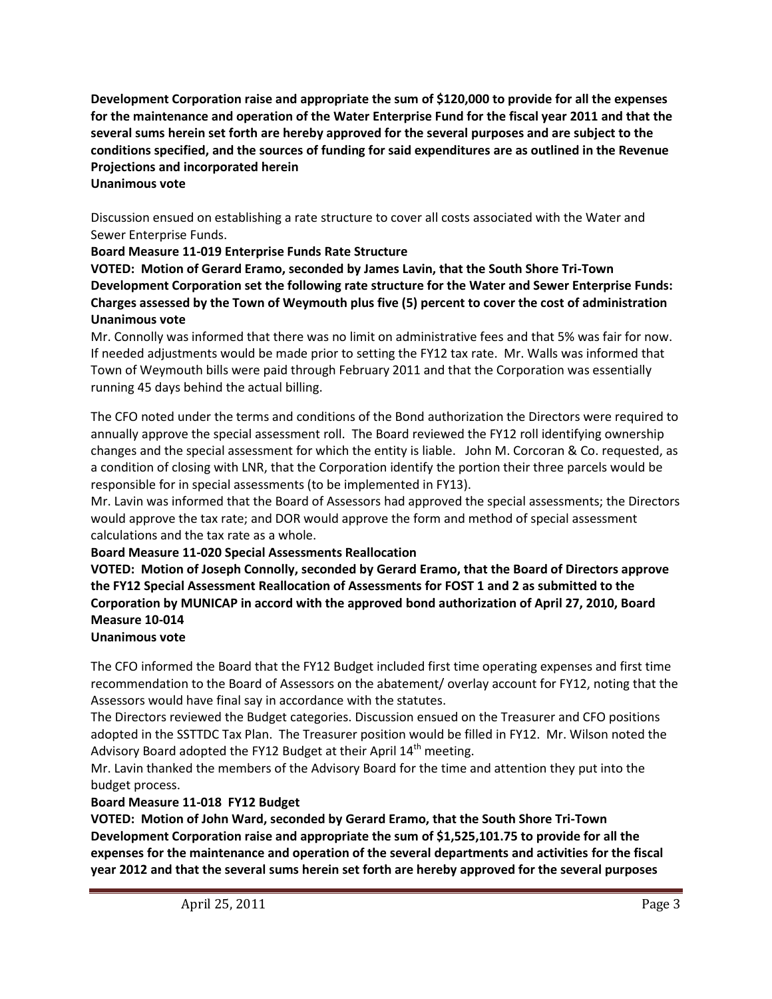**Development Corporation raise and appropriate the sum of \$120,000 to provide for all the expenses for the maintenance and operation of the Water Enterprise Fund for the fiscal year 2011 and that the several sums herein set forth are hereby approved for the several purposes and are subject to the conditions specified, and the sources of funding for said expenditures are as outlined in the Revenue Projections and incorporated herein Unanimous vote**

Discussion ensued on establishing a rate structure to cover all costs associated with the Water and Sewer Enterprise Funds.

## **Board Measure 11-019 Enterprise Funds Rate Structure**

**VOTED: Motion of Gerard Eramo, seconded by James Lavin, that the South Shore Tri-Town Development Corporation set the following rate structure for the Water and Sewer Enterprise Funds: Charges assessed by the Town of Weymouth plus five (5) percent to cover the cost of administration Unanimous vote**

Mr. Connolly was informed that there was no limit on administrative fees and that 5% was fair for now. If needed adjustments would be made prior to setting the FY12 tax rate. Mr. Walls was informed that Town of Weymouth bills were paid through February 2011 and that the Corporation was essentially running 45 days behind the actual billing.

The CFO noted under the terms and conditions of the Bond authorization the Directors were required to annually approve the special assessment roll. The Board reviewed the FY12 roll identifying ownership changes and the special assessment for which the entity is liable. John M. Corcoran & Co. requested, as a condition of closing with LNR, that the Corporation identify the portion their three parcels would be responsible for in special assessments (to be implemented in FY13).

Mr. Lavin was informed that the Board of Assessors had approved the special assessments; the Directors would approve the tax rate; and DOR would approve the form and method of special assessment calculations and the tax rate as a whole.

## **Board Measure 11-020 Special Assessments Reallocation**

**VOTED: Motion of Joseph Connolly, seconded by Gerard Eramo, that the Board of Directors approve the FY12 Special Assessment Reallocation of Assessments for FOST 1 and 2 as submitted to the Corporation by MUNICAP in accord with the approved bond authorization of April 27, 2010, Board Measure 10-014**

## **Unanimous vote**

The CFO informed the Board that the FY12 Budget included first time operating expenses and first time recommendation to the Board of Assessors on the abatement/ overlay account for FY12, noting that the Assessors would have final say in accordance with the statutes.

The Directors reviewed the Budget categories. Discussion ensued on the Treasurer and CFO positions adopted in the SSTTDC Tax Plan. The Treasurer position would be filled in FY12. Mr. Wilson noted the Advisory Board adopted the FY12 Budget at their April 14<sup>th</sup> meeting.

Mr. Lavin thanked the members of the Advisory Board for the time and attention they put into the budget process.

# **Board Measure 11-018 FY12 Budget**

**VOTED: Motion of John Ward, seconded by Gerard Eramo, that the South Shore Tri-Town Development Corporation raise and appropriate the sum of \$1,525,101.75 to provide for all the expenses for the maintenance and operation of the several departments and activities for the fiscal year 2012 and that the several sums herein set forth are hereby approved for the several purposes**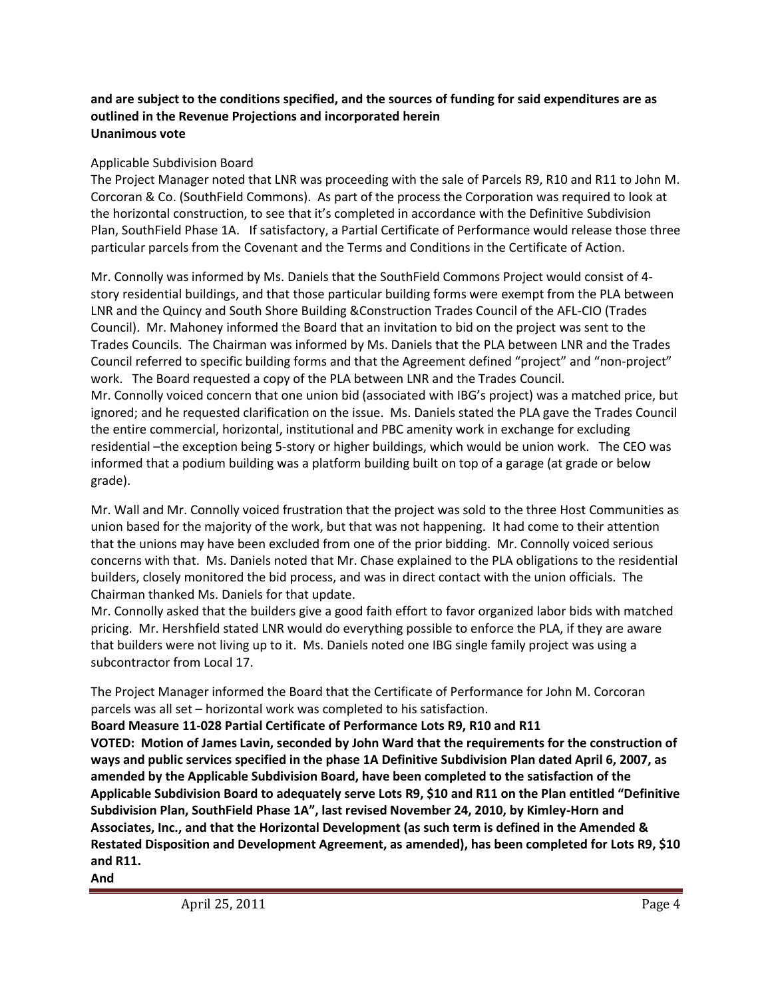## **and are subject to the conditions specified, and the sources of funding for said expenditures are as outlined in the Revenue Projections and incorporated herein Unanimous vote**

## Applicable Subdivision Board

The Project Manager noted that LNR was proceeding with the sale of Parcels R9, R10 and R11 to John M. Corcoran & Co. (SouthField Commons). As part of the process the Corporation was required to look at the horizontal construction, to see that it's completed in accordance with the Definitive Subdivision Plan, SouthField Phase 1A. If satisfactory, a Partial Certificate of Performance would release those three particular parcels from the Covenant and the Terms and Conditions in the Certificate of Action.

Mr. Connolly was informed by Ms. Daniels that the SouthField Commons Project would consist of 4 story residential buildings, and that those particular building forms were exempt from the PLA between LNR and the Quincy and South Shore Building &Construction Trades Council of the AFL-CIO (Trades Council). Mr. Mahoney informed the Board that an invitation to bid on the project was sent to the Trades Councils. The Chairman was informed by Ms. Daniels that the PLA between LNR and the Trades Council referred to specific building forms and that the Agreement defined "project" and "non-project" work. The Board requested a copy of the PLA between LNR and the Trades Council. Mr. Connolly voiced concern that one union bid (associated with IBG's project) was a matched price, but ignored; and he requested clarification on the issue. Ms. Daniels stated the PLA gave the Trades Council the entire commercial, horizontal, institutional and PBC amenity work in exchange for excluding residential –the exception being 5-story or higher buildings, which would be union work. The CEO was informed that a podium building was a platform building built on top of a garage (at grade or below grade).

Mr. Wall and Mr. Connolly voiced frustration that the project was sold to the three Host Communities as union based for the majority of the work, but that was not happening. It had come to their attention that the unions may have been excluded from one of the prior bidding. Mr. Connolly voiced serious concerns with that. Ms. Daniels noted that Mr. Chase explained to the PLA obligations to the residential builders, closely monitored the bid process, and was in direct contact with the union officials. The Chairman thanked Ms. Daniels for that update.

Mr. Connolly asked that the builders give a good faith effort to favor organized labor bids with matched pricing. Mr. Hershfield stated LNR would do everything possible to enforce the PLA, if they are aware that builders were not living up to it. Ms. Daniels noted one IBG single family project was using a subcontractor from Local 17.

The Project Manager informed the Board that the Certificate of Performance for John M. Corcoran parcels was all set – horizontal work was completed to his satisfaction.

**Board Measure 11-028 Partial Certificate of Performance Lots R9, R10 and R11**

**VOTED: Motion of James Lavin, seconded by John Ward that the requirements for the construction of ways and public services specified in the phase 1A Definitive Subdivision Plan dated April 6, 2007, as amended by the Applicable Subdivision Board, have been completed to the satisfaction of the Applicable Subdivision Board to adequately serve Lots R9, \$10 and R11 on the Plan entitled "Definitive Subdivision Plan, SouthField Phase 1A", last revised November 24, 2010, by Kimley-Horn and Associates, Inc., and that the Horizontal Development (as such term is defined in the Amended & Restated Disposition and Development Agreement, as amended), has been completed for Lots R9, \$10 and R11.** 

#### **And**